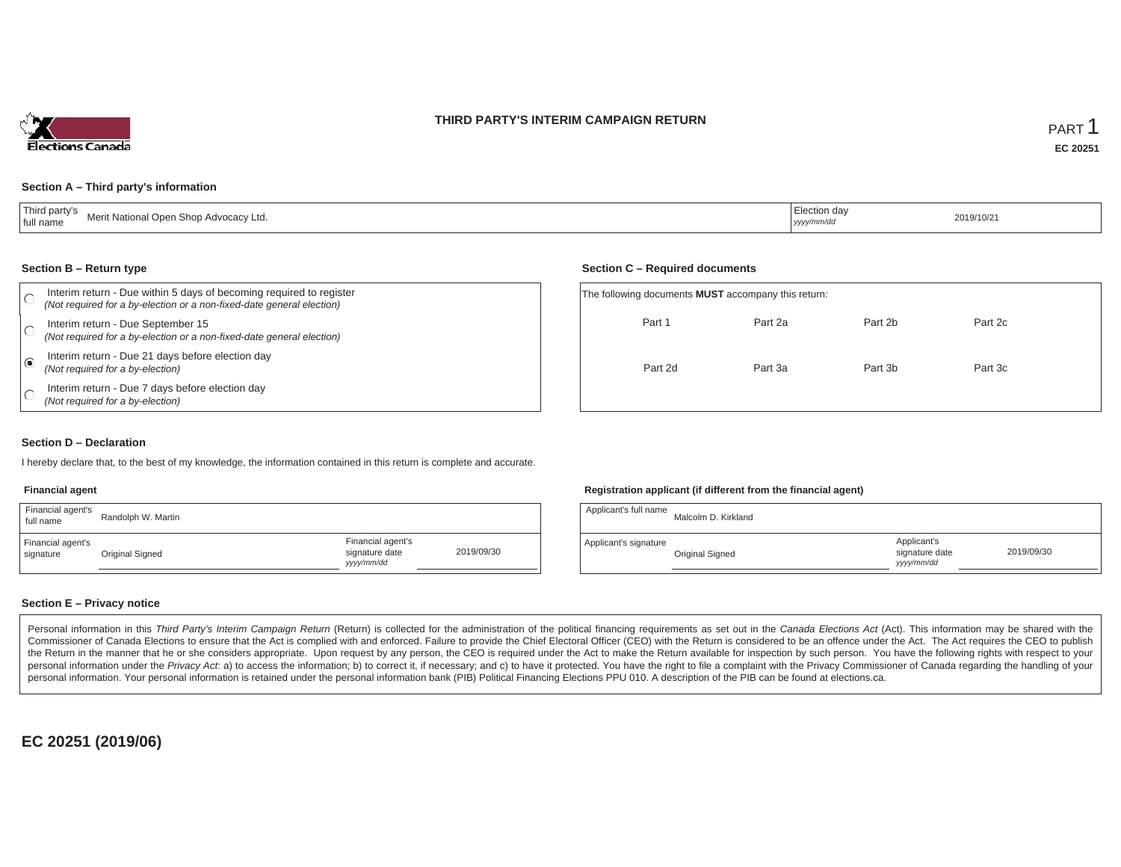### **THIRD PARTY'S INTERIM CAMPAIGN RETURN**



### **Section A – Third party's information**

| Third party's<br>Merit National Open Shop Advocacy Ltd.<br>full name | ' Election day<br>yyyy/mm/dc | 2019/10/21<br>. |
|----------------------------------------------------------------------|------------------------------|-----------------|
|----------------------------------------------------------------------|------------------------------|-----------------|

#### **Section B – Return type**

| Interim return - Due within 5 days of becoming required to register<br>(Not required for a by-election or a non-fixed-date general election) |  | The following documents <b>MUST</b> accompany this return: |         |         |         |  |  |
|----------------------------------------------------------------------------------------------------------------------------------------------|--|------------------------------------------------------------|---------|---------|---------|--|--|
| Interim return - Due September 15<br>(Not required for a by-election or a non-fixed-date general election)                                   |  | Part 1                                                     | Part 2a | Part 2b | Part 2c |  |  |
| Interim return - Due 21 days before election day<br>(Not required for a by-election)                                                         |  | Part 2d                                                    | Part 3a | Part 3b | Part 3c |  |  |
| Interim return - Due 7 days before election day<br>(Not required for a by-election)                                                          |  |                                                            |         |         |         |  |  |

### **Section D – Declaration**

I hereby declare that, to the best of my knowledge, the information contained in this return is complete and accurate.

#### **Financial agent**

| Financial agent's<br>full name | Randolph W. Martin |                                                  |            |
|--------------------------------|--------------------|--------------------------------------------------|------------|
| Financial agent's<br>signature | Original Signed    | Financial agent's<br>signature date<br>vyy/mm/dd | 2019/09/30 |

### **Registration applicant (if different from the financial agent)**

**Section C – Required documents**

| Applicant's full name | Malcolm D. Kirkland |                                            |            |
|-----------------------|---------------------|--------------------------------------------|------------|
| Applicant's signature | Original Signed     | Applicant's<br>signature date<br>yyy/mm/dd | 2019/09/30 |

### **Section E – Privacy notice**

Personal information in this Third Party's Interim Campaign Return (Return) is collected for the administration of the political financing requirements as set out in the Canada Elections Act (Act). This information may be Commissioner of Canada Elections to ensure that the Act is complied with and enforced. Failure to provide the Chief Electoral Officer (CEO) with the Return is considered to be an offence under the Act. The Act requires the the Return in the manner that he or she considers appropriate. Upon request by any person, the CEO is required under the Act to make the Return available for inspection by such person. You have the following rights with re personal information under the Privacy Act. a) to access the information; b) to correct it, if necessary; and c) to have it protected. You have the right to file a complaint with the Privacy Commissioner of Canada regardin personal information. Your personal information is retained under the personal information bank (PIB) Political Financing Elections PPU 010. A description of the PIB can be found at elections.ca.

**EC 20251 (2019/06)**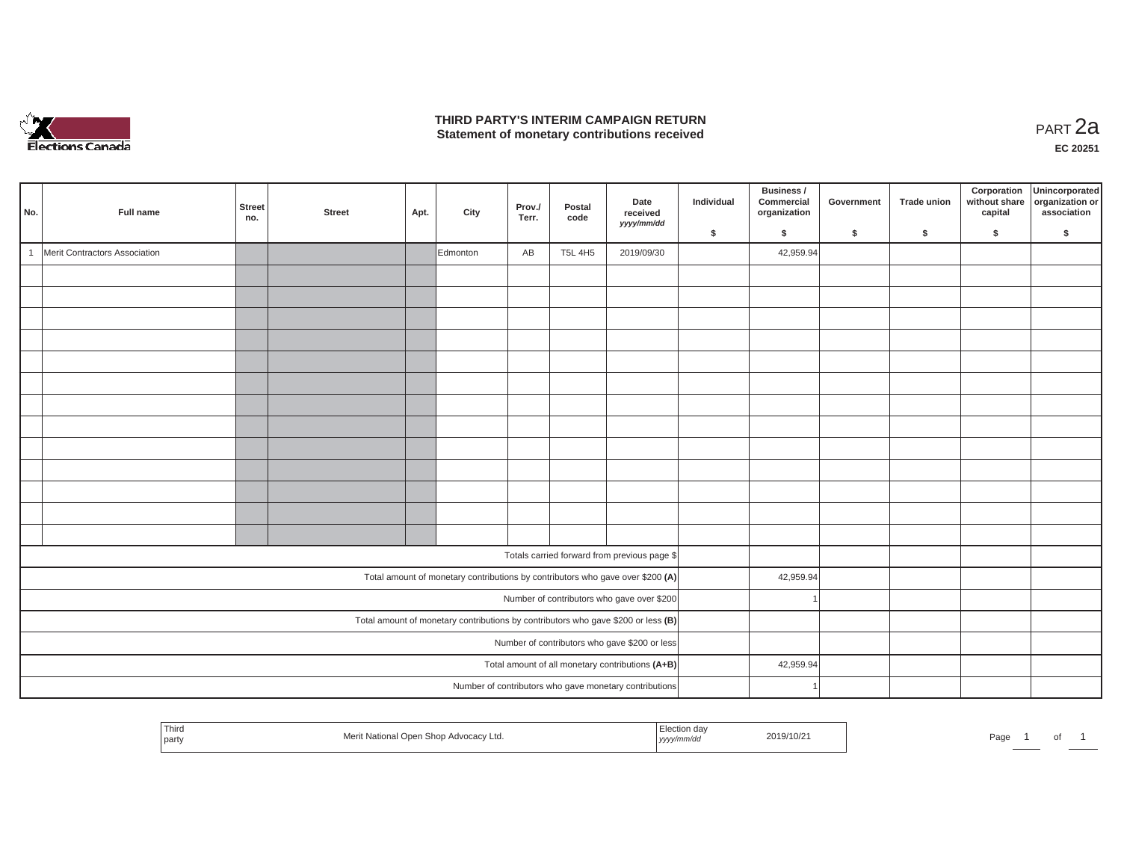

### **THIRD PARTY'S INTERIM CAMPAIGN RETURN THIRD PARTY'S INTERIM CAMPAIGN RETURN<br>Statement of monetary contributions received PART 2a**

| No.            | Full name                     | Street<br>no. | <b>Street</b> | Apt. | City     | Prov./<br>Terr. | Postal<br>code | Date<br>received<br>yyyy/mm/dd                                                    | Individual | Business /<br>Commercial<br>organization | Government | <b>Trade union</b> | Corporation<br>without share<br>capital | Unincorporated<br>organization or<br>association |
|----------------|-------------------------------|---------------|---------------|------|----------|-----------------|----------------|-----------------------------------------------------------------------------------|------------|------------------------------------------|------------|--------------------|-----------------------------------------|--------------------------------------------------|
|                |                               |               |               |      |          |                 |                |                                                                                   | \$         | \$                                       | \$         | $\mathsf{s}$       | \$                                      | \$                                               |
| $\overline{1}$ | Merit Contractors Association |               |               |      | Edmonton | AB              | <b>T5L 4H5</b> | 2019/09/30                                                                        |            | 42,959.94                                |            |                    |                                         |                                                  |
|                |                               |               |               |      |          |                 |                |                                                                                   |            |                                          |            |                    |                                         |                                                  |
|                |                               |               |               |      |          |                 |                |                                                                                   |            |                                          |            |                    |                                         |                                                  |
|                |                               |               |               |      |          |                 |                |                                                                                   |            |                                          |            |                    |                                         |                                                  |
|                |                               |               |               |      |          |                 |                |                                                                                   |            |                                          |            |                    |                                         |                                                  |
|                |                               |               |               |      |          |                 |                |                                                                                   |            |                                          |            |                    |                                         |                                                  |
|                |                               |               |               |      |          |                 |                |                                                                                   |            |                                          |            |                    |                                         |                                                  |
|                |                               |               |               |      |          |                 |                |                                                                                   |            |                                          |            |                    |                                         |                                                  |
|                |                               |               |               |      |          |                 |                |                                                                                   |            |                                          |            |                    |                                         |                                                  |
|                |                               |               |               |      |          |                 |                |                                                                                   |            |                                          |            |                    |                                         |                                                  |
|                |                               |               |               |      |          |                 |                |                                                                                   |            |                                          |            |                    |                                         |                                                  |
|                |                               |               |               |      |          |                 |                |                                                                                   |            |                                          |            |                    |                                         |                                                  |
|                |                               |               |               |      |          |                 |                |                                                                                   |            |                                          |            |                    |                                         |                                                  |
|                |                               |               |               |      |          |                 |                |                                                                                   |            |                                          |            |                    |                                         |                                                  |
|                |                               |               |               |      |          |                 |                | Totals carried forward from previous page \$                                      |            |                                          |            |                    |                                         |                                                  |
|                |                               |               |               |      |          |                 |                | Total amount of monetary contributions by contributors who gave over \$200 (A)    |            | 42,959.94                                |            |                    |                                         |                                                  |
|                |                               |               |               |      |          |                 |                | Number of contributors who gave over \$200                                        |            |                                          |            |                    |                                         |                                                  |
|                |                               |               |               |      |          |                 |                | Total amount of monetary contributions by contributors who gave \$200 or less (B) |            |                                          |            |                    |                                         |                                                  |
|                |                               |               |               |      |          |                 |                | Number of contributors who gave \$200 or less                                     |            |                                          |            |                    |                                         |                                                  |
|                |                               |               |               |      |          |                 |                | Total amount of all monetary contributions (A+B)                                  |            | 42,959.94                                |            |                    |                                         |                                                  |
|                |                               |               |               |      |          |                 |                | Number of contributors who gave monetary contributions                            |            |                                          |            |                    |                                         |                                                  |

| Third<br>Election day<br>2019/10/21<br>Merit National Open Shop Advocacy Ltd.<br>yyyy/mm/dd<br><sup>t</sup> party | Page |
|-------------------------------------------------------------------------------------------------------------------|------|
|-------------------------------------------------------------------------------------------------------------------|------|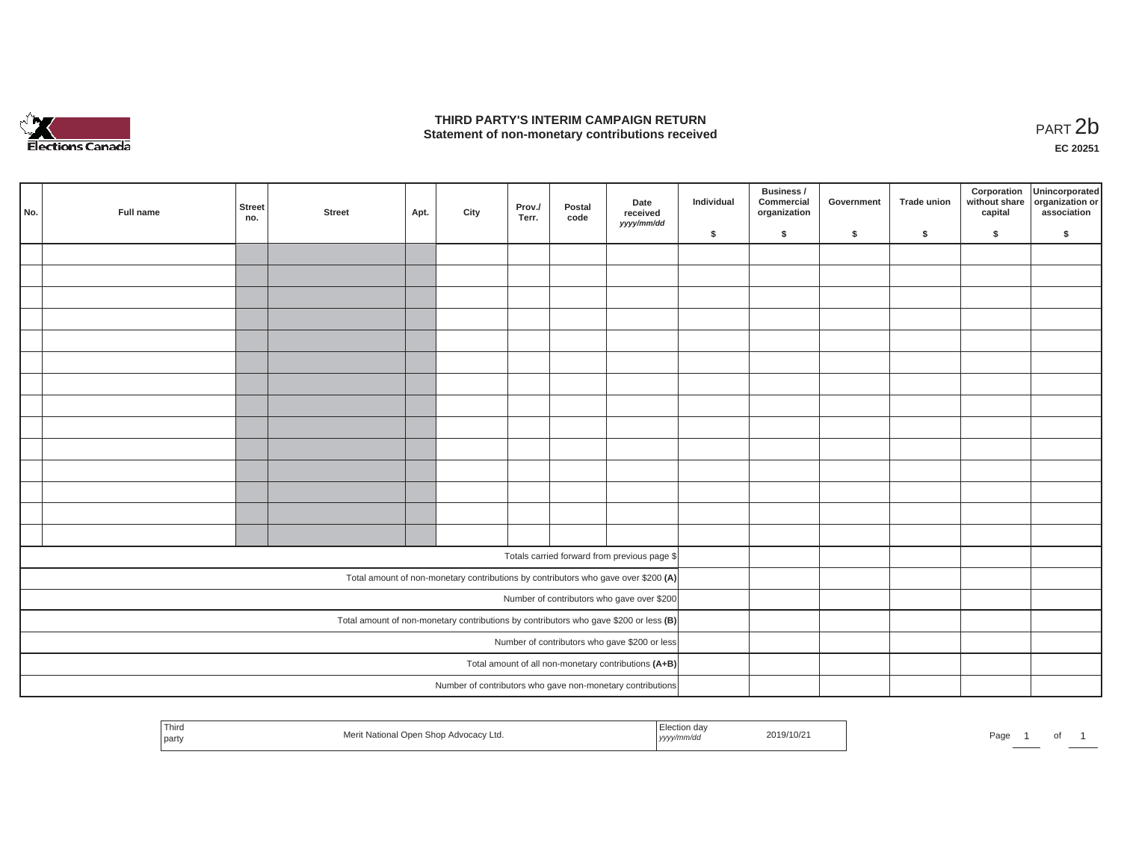

### **THIRD PARTY'S INTERIM CAMPAIGN RETURN**  THIRD PARTY'S INTERIM CAMPAIGN RETURN<br>Statement of non-monetary contributions received<br>**PART 2**b

**EC 20251**

| No. | Full name | Street<br>no. | <b>Street</b> | Apt. | City | Prov./<br>Terr. | Postal<br>code | Date<br>received<br>yyyy/mm/dd                                                        | Individual | Business /<br>Commercial<br>organization | Government | Trade union | Corporation<br>capital | Unincorporated<br>without share organization or<br>association |
|-----|-----------|---------------|---------------|------|------|-----------------|----------------|---------------------------------------------------------------------------------------|------------|------------------------------------------|------------|-------------|------------------------|----------------------------------------------------------------|
|     |           |               |               |      |      |                 |                |                                                                                       | \$         | $\mathsf{s}$                             | \$         | $\sqrt{2}$  | \$                     | \$                                                             |
|     |           |               |               |      |      |                 |                |                                                                                       |            |                                          |            |             |                        |                                                                |
|     |           |               |               |      |      |                 |                |                                                                                       |            |                                          |            |             |                        |                                                                |
|     |           |               |               |      |      |                 |                |                                                                                       |            |                                          |            |             |                        |                                                                |
|     |           |               |               |      |      |                 |                |                                                                                       |            |                                          |            |             |                        |                                                                |
|     |           |               |               |      |      |                 |                |                                                                                       |            |                                          |            |             |                        |                                                                |
|     |           |               |               |      |      |                 |                |                                                                                       |            |                                          |            |             |                        |                                                                |
|     |           |               |               |      |      |                 |                |                                                                                       |            |                                          |            |             |                        |                                                                |
|     |           |               |               |      |      |                 |                |                                                                                       |            |                                          |            |             |                        |                                                                |
|     |           |               |               |      |      |                 |                |                                                                                       |            |                                          |            |             |                        |                                                                |
|     |           |               |               |      |      |                 |                |                                                                                       |            |                                          |            |             |                        |                                                                |
|     |           |               |               |      |      |                 |                |                                                                                       |            |                                          |            |             |                        |                                                                |
|     |           |               |               |      |      |                 |                |                                                                                       |            |                                          |            |             |                        |                                                                |
|     |           |               |               |      |      |                 |                |                                                                                       |            |                                          |            |             |                        |                                                                |
|     |           |               |               |      |      |                 |                |                                                                                       |            |                                          |            |             |                        |                                                                |
|     |           |               |               |      |      |                 |                |                                                                                       |            |                                          |            |             |                        |                                                                |
|     |           |               |               |      |      |                 |                | Totals carried forward from previous page \$                                          |            |                                          |            |             |                        |                                                                |
|     |           |               |               |      |      |                 |                | Total amount of non-monetary contributions by contributors who gave over \$200 (A)    |            |                                          |            |             |                        |                                                                |
|     |           |               |               |      |      |                 |                | Number of contributors who gave over \$200                                            |            |                                          |            |             |                        |                                                                |
|     |           |               |               |      |      |                 |                | Total amount of non-monetary contributions by contributors who gave \$200 or less (B) |            |                                          |            |             |                        |                                                                |
|     |           |               |               |      |      |                 |                | Number of contributors who gave \$200 or less                                         |            |                                          |            |             |                        |                                                                |
|     |           |               |               |      |      |                 |                | Total amount of all non-monetary contributions (A+B)                                  |            |                                          |            |             |                        |                                                                |
|     |           |               |               |      |      |                 |                | Number of contributors who gave non-monetary contributions                            |            |                                          |            |             |                        |                                                                |
|     |           |               |               |      |      |                 |                |                                                                                       |            |                                          |            |             |                        |                                                                |

| <sup>1</sup> Third<br>2019/10/21<br>: National Open Shop Advocacv Ltd.<br>  party<br>yyyy/mm/aa<br>. | Page<br>וש |
|------------------------------------------------------------------------------------------------------|------------|
|------------------------------------------------------------------------------------------------------|------------|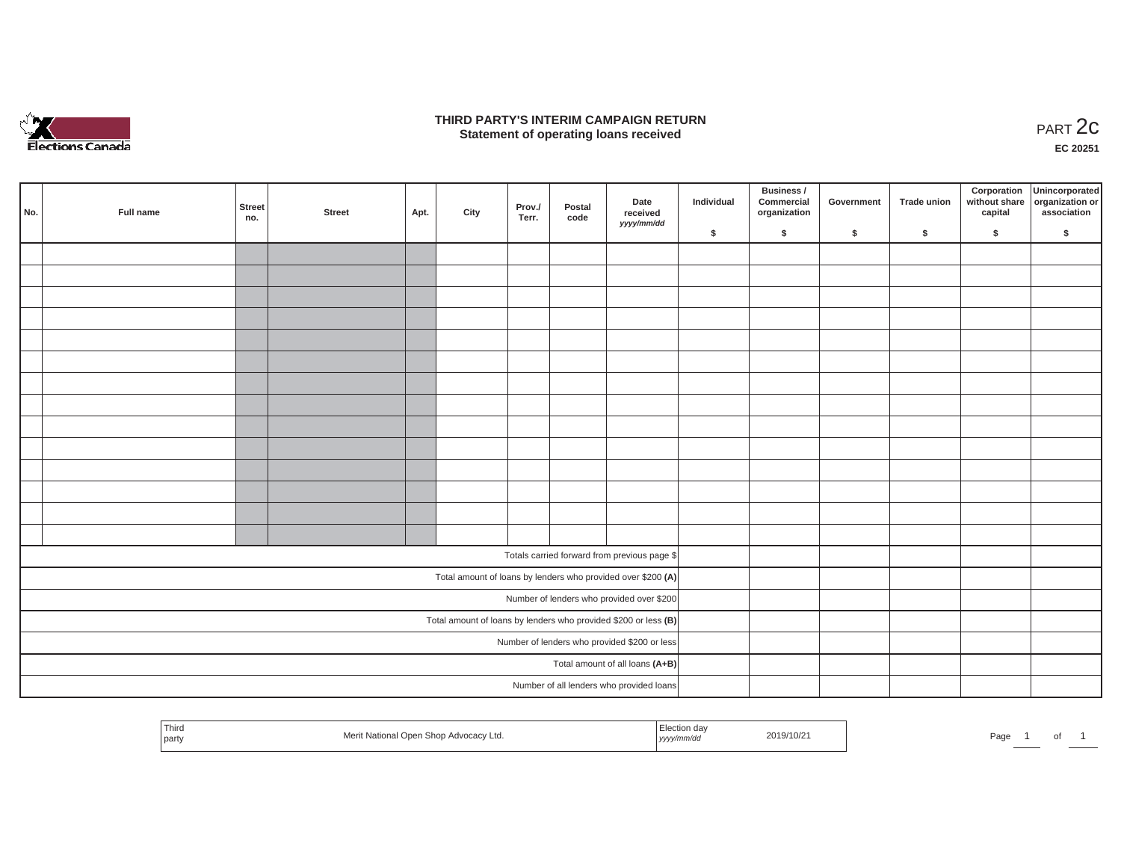

### **THIRD PARTY'S INTERIM CAMPAIGN RETURN**  RD PARTY'S INTERIM CAMPAIGN RETURN<br>Statement of operating loans received **PART 2c**

**EC 20251**

|     |           |               |        |      |      |                 |                |                                                                 |            | Business /                 |            |             |         | Corporation Unincorporated<br>without share organization or |
|-----|-----------|---------------|--------|------|------|-----------------|----------------|-----------------------------------------------------------------|------------|----------------------------|------------|-------------|---------|-------------------------------------------------------------|
| No. | Full name | Street<br>no. | Street | Apt. | City | Prov./<br>Terr. | Postal<br>code | Date<br>received                                                | Individual | Commercial<br>organization | Government | Trade union | capital | association                                                 |
|     |           |               |        |      |      |                 |                | yyyy/mm/dd                                                      | \$         | $\sqrt{2}$                 | \$         | $\sqrt{2}$  | \$      | \$                                                          |
|     |           |               |        |      |      |                 |                |                                                                 |            |                            |            |             |         |                                                             |
|     |           |               |        |      |      |                 |                |                                                                 |            |                            |            |             |         |                                                             |
|     |           |               |        |      |      |                 |                |                                                                 |            |                            |            |             |         |                                                             |
|     |           |               |        |      |      |                 |                |                                                                 |            |                            |            |             |         |                                                             |
|     |           |               |        |      |      |                 |                |                                                                 |            |                            |            |             |         |                                                             |
|     |           |               |        |      |      |                 |                |                                                                 |            |                            |            |             |         |                                                             |
|     |           |               |        |      |      |                 |                |                                                                 |            |                            |            |             |         |                                                             |
|     |           |               |        |      |      |                 |                |                                                                 |            |                            |            |             |         |                                                             |
|     |           |               |        |      |      |                 |                |                                                                 |            |                            |            |             |         |                                                             |
|     |           |               |        |      |      |                 |                |                                                                 |            |                            |            |             |         |                                                             |
|     |           |               |        |      |      |                 |                |                                                                 |            |                            |            |             |         |                                                             |
|     |           |               |        |      |      |                 |                |                                                                 |            |                            |            |             |         |                                                             |
|     |           |               |        |      |      |                 |                |                                                                 |            |                            |            |             |         |                                                             |
|     |           |               |        |      |      |                 |                |                                                                 |            |                            |            |             |         |                                                             |
|     |           |               |        |      |      |                 |                | Totals carried forward from previous page \$                    |            |                            |            |             |         |                                                             |
|     |           |               |        |      |      |                 |                | Total amount of loans by lenders who provided over \$200 (A)    |            |                            |            |             |         |                                                             |
|     |           |               |        |      |      |                 |                | Number of lenders who provided over \$200                       |            |                            |            |             |         |                                                             |
|     |           |               |        |      |      |                 |                | Total amount of loans by lenders who provided \$200 or less (B) |            |                            |            |             |         |                                                             |
|     |           |               |        |      |      |                 |                | Number of lenders who provided \$200 or less                    |            |                            |            |             |         |                                                             |
|     |           |               |        |      |      |                 |                | Total amount of all loans (A+B)                                 |            |                            |            |             |         |                                                             |
|     |           |               |        |      |      |                 |                | Number of all lenders who provided loans                        |            |                            |            |             |         |                                                             |

| Third<br>Election da<br>2019/10/21<br>t National Open Shop Advocacy Ltd.<br>Meri<br>yyyy/mm/dd<br>party | Page |  |  |  |
|---------------------------------------------------------------------------------------------------------|------|--|--|--|
|---------------------------------------------------------------------------------------------------------|------|--|--|--|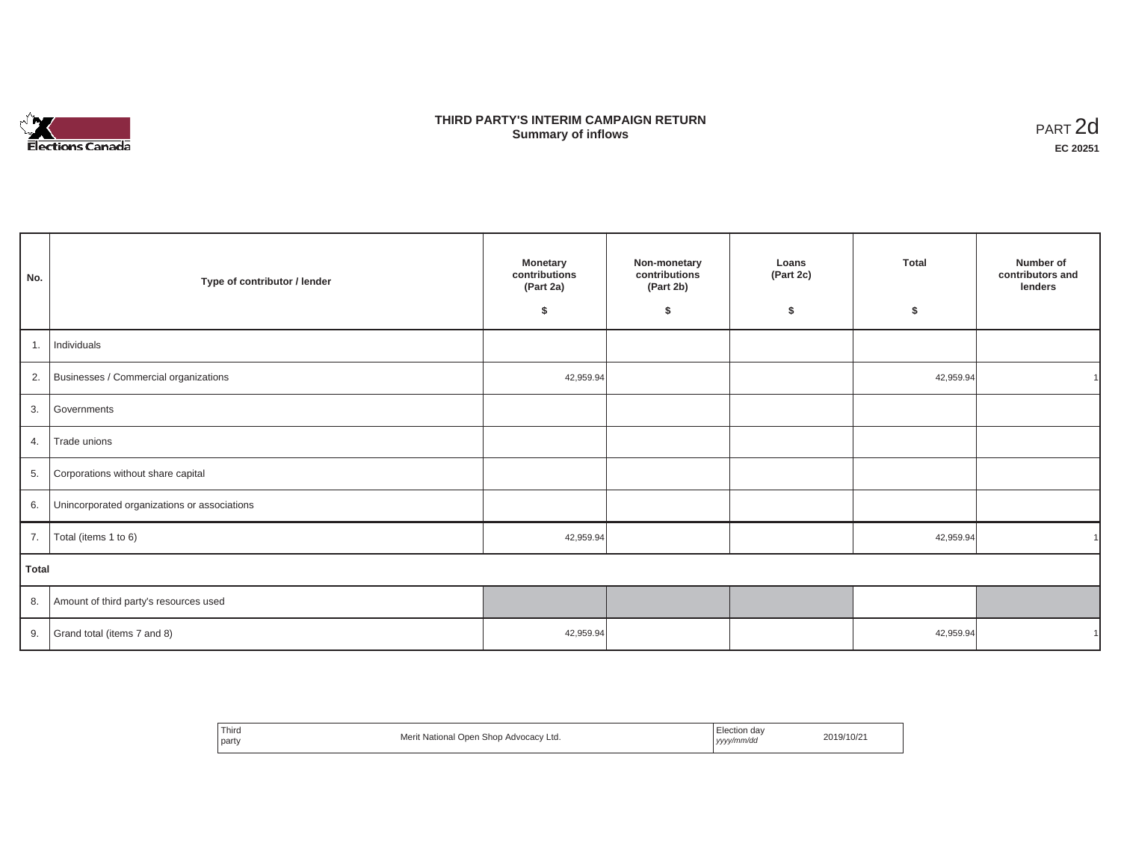

# **THIRD PARTY'S INTERIM CAMPAIGN RETURN SUMMARY STATE SUMMARY OF A SUMMARY OF A SUMMARY OF A SUMMARY OF A SUMMARY OF A SUMMARY OF A SUMMARY OF A SUMMA**<br> **Summary of inflows**

| No.   | Type of contributor / lender                    | <b>Monetary</b><br>contributions<br>(Part 2a)<br>\$ | Non-monetary<br>contributions<br>(Part 2b)<br>\$ | Loans<br>(Part 2c)<br>\$ | <b>Total</b><br>\$ | Number of<br>contributors and<br>lenders |
|-------|-------------------------------------------------|-----------------------------------------------------|--------------------------------------------------|--------------------------|--------------------|------------------------------------------|
| 1.    | Individuals                                     |                                                     |                                                  |                          |                    |                                          |
|       | 2. Businesses / Commercial organizations        | 42,959.94                                           |                                                  |                          | 42,959.94          |                                          |
| 3.    | Governments                                     |                                                     |                                                  |                          |                    |                                          |
| 4.    | Trade unions                                    |                                                     |                                                  |                          |                    |                                          |
| 5.    | Corporations without share capital              |                                                     |                                                  |                          |                    |                                          |
|       | 6. Unincorporated organizations or associations |                                                     |                                                  |                          |                    |                                          |
| 7.    | Total (items 1 to 6)                            | 42,959.94                                           |                                                  |                          | 42,959.94          |                                          |
| Total |                                                 |                                                     |                                                  |                          |                    |                                          |
|       | 8. Amount of third party's resources used       |                                                     |                                                  |                          |                    |                                          |
|       | 9. Grand total (items $7$ and 8)                | 42,959.94                                           |                                                  |                          | 42,959.94          |                                          |

| ' Third<br>rit National Open Shop Advocacy Ltd.<br>Merit<br>party | Election day<br>2019/10/21<br>.<br>  yyyy/mm/dd<br>. |
|-------------------------------------------------------------------|------------------------------------------------------|
|-------------------------------------------------------------------|------------------------------------------------------|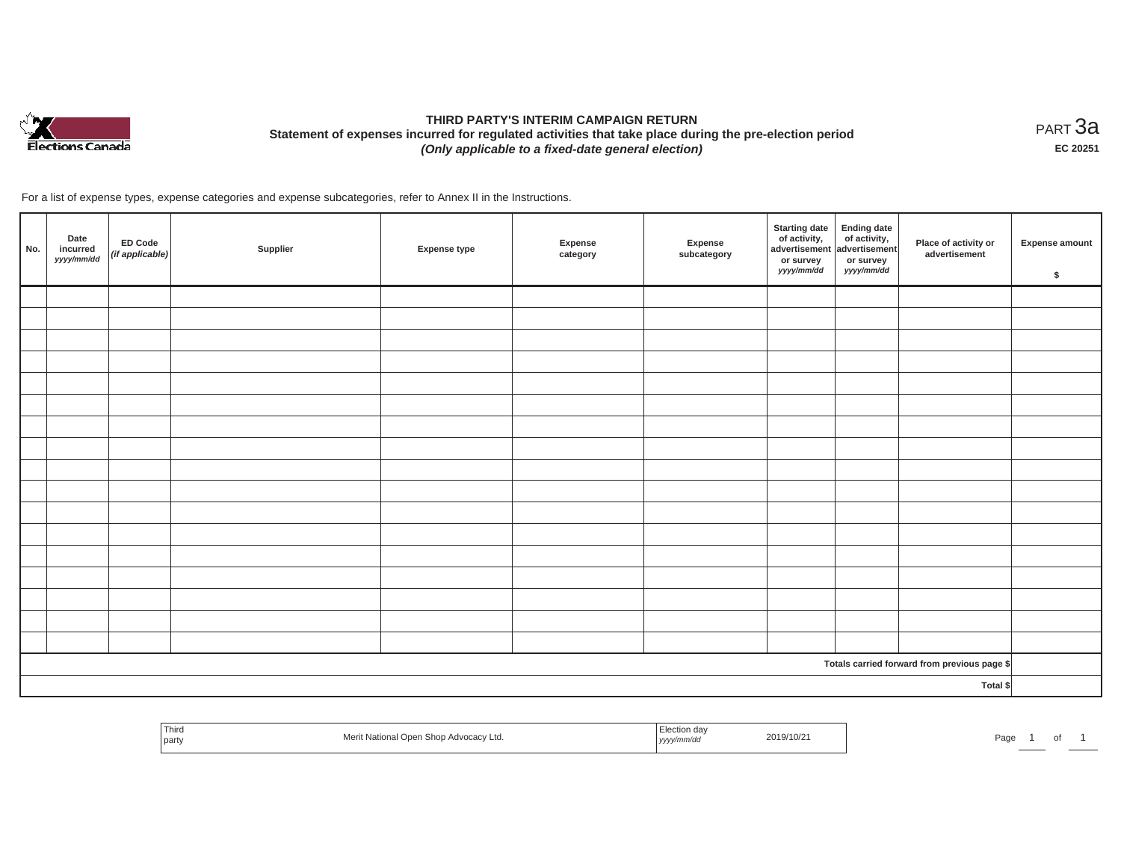

# **THIRD PARTY'S INTERIM CAMPAIGN RETURN Statement of expenses incurred for regulated activities that take place during the pre-election period**  *(Only applicable to a fixed-date general election)*

<code>PART $3$ a</code> **EC 20251**

For a list of expense types, expense categories and expense subcategories, refer to Annex II in the Instructions.

| No. | Date<br>incurred<br>yyyy/mm/dd | ED Code<br>(if applicable) | Supplier | <b>Expense type</b> | Expense<br>category | Expense<br>subcategory | <b>Starting date</b><br>of activity,<br>advertisement<br>or survey<br>yyyy/mm/dd | Ending date<br>of activity,<br>advertisement<br>or survey<br>yyyy/mm/dd | Place of activity or<br>advertisement        | <b>Expense amount</b><br>\$ |
|-----|--------------------------------|----------------------------|----------|---------------------|---------------------|------------------------|----------------------------------------------------------------------------------|-------------------------------------------------------------------------|----------------------------------------------|-----------------------------|
|     |                                |                            |          |                     |                     |                        |                                                                                  |                                                                         |                                              |                             |
|     |                                |                            |          |                     |                     |                        |                                                                                  |                                                                         |                                              |                             |
|     |                                |                            |          |                     |                     |                        |                                                                                  |                                                                         |                                              |                             |
|     |                                |                            |          |                     |                     |                        |                                                                                  |                                                                         |                                              |                             |
|     |                                |                            |          |                     |                     |                        |                                                                                  |                                                                         |                                              |                             |
|     |                                |                            |          |                     |                     |                        |                                                                                  |                                                                         |                                              |                             |
|     |                                |                            |          |                     |                     |                        |                                                                                  |                                                                         |                                              |                             |
|     |                                |                            |          |                     |                     |                        |                                                                                  |                                                                         |                                              |                             |
|     |                                |                            |          |                     |                     |                        |                                                                                  |                                                                         |                                              |                             |
|     |                                |                            |          |                     |                     |                        |                                                                                  |                                                                         |                                              |                             |
|     |                                |                            |          |                     |                     |                        |                                                                                  |                                                                         |                                              |                             |
|     |                                |                            |          |                     |                     |                        |                                                                                  |                                                                         |                                              |                             |
|     |                                |                            |          |                     |                     |                        |                                                                                  |                                                                         |                                              |                             |
|     |                                |                            |          |                     |                     |                        |                                                                                  |                                                                         |                                              |                             |
|     |                                |                            |          |                     |                     |                        |                                                                                  |                                                                         |                                              |                             |
|     |                                |                            |          |                     |                     |                        |                                                                                  |                                                                         |                                              |                             |
|     |                                |                            |          |                     |                     |                        |                                                                                  |                                                                         |                                              |                             |
|     |                                |                            |          |                     |                     |                        |                                                                                  |                                                                         | Totals carried forward from previous page \$ |                             |
|     |                                |                            |          |                     |                     |                        |                                                                                  |                                                                         | Total \$                                     |                             |

| Third<br>party | ) Advocacy Ltd.<br>157<br>, ,, , | ,,,, | 2019/10/21 | Page |  |
|----------------|----------------------------------|------|------------|------|--|
|                |                                  |      |            |      |  |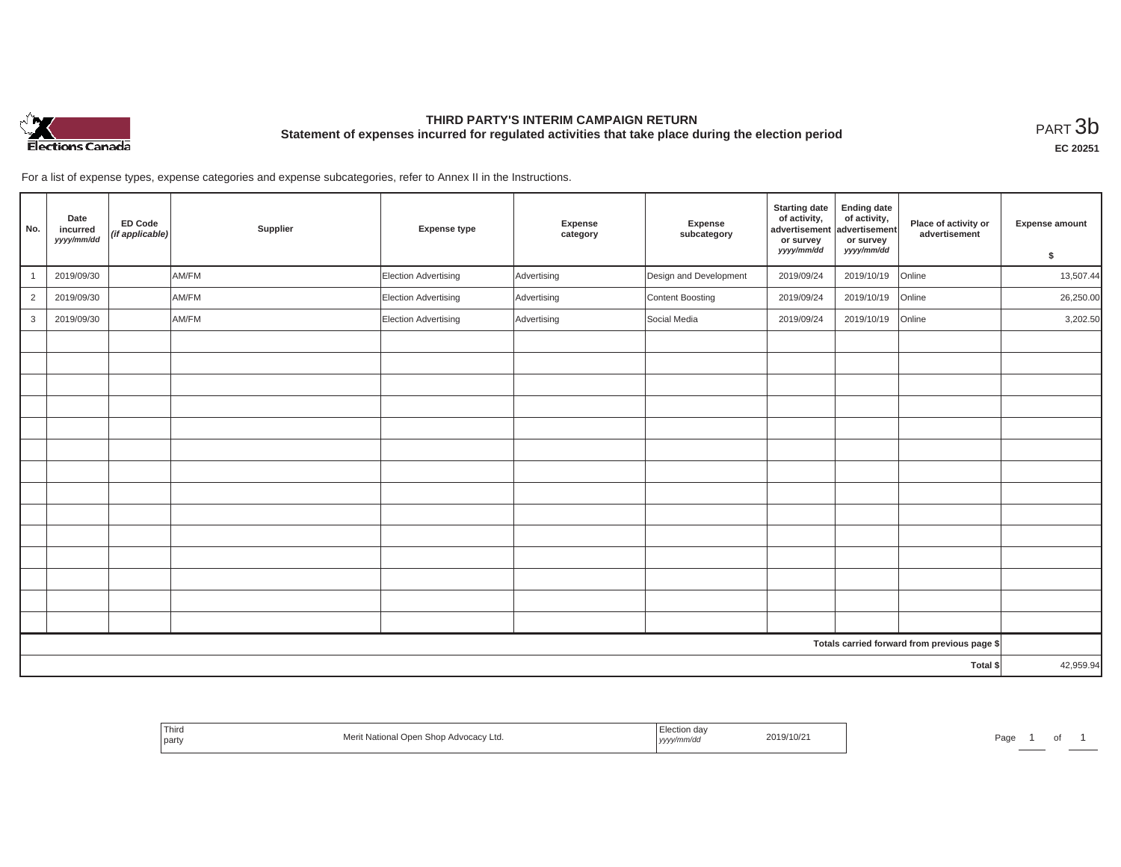

# **THIRD PARTY'S INTERIM CAMPAIGN RETURN Statement of expenses incurred for regulated activities that take place during the election period**<br>PART  $3\text{b}$

**EC 20251**

For a list of expense types, expense categories and expense subcategories, refer to Annex II in the Instructions.

| No.            | Date<br>incurred<br>yyyy/mm/dd | <b>ED Code</b><br>(if applicable) | Supplier | <b>Expense type</b>         | Expense<br>category | Expense<br>subcategory | <b>Starting date</b><br>of activity,<br>advertisement<br>or survey | <b>Ending date</b><br>of activity,<br>advertisement<br>or survey | Place of activity or<br>advertisement        | <b>Expense amount</b> |
|----------------|--------------------------------|-----------------------------------|----------|-----------------------------|---------------------|------------------------|--------------------------------------------------------------------|------------------------------------------------------------------|----------------------------------------------|-----------------------|
|                |                                |                                   |          |                             |                     |                        | yyyy/mm/dd                                                         | yyyy/mm/dd                                                       |                                              | \$                    |
| $\overline{1}$ | 2019/09/30                     |                                   | AM/FM    | Election Advertising        | Advertising         | Design and Development | 2019/09/24                                                         | 2019/10/19                                                       | Online                                       | 13,507.44             |
| $\overline{2}$ | 2019/09/30                     |                                   | AM/FM    | <b>Election Advertising</b> | Advertising         | Content Boosting       | 2019/09/24                                                         | 2019/10/19                                                       | Online                                       | 26,250.00             |
| 3              | 2019/09/30                     |                                   | AM/FM    | Election Advertising        | Advertising         | Social Media           | 2019/09/24                                                         | 2019/10/19                                                       | Online                                       | 3,202.50              |
|                |                                |                                   |          |                             |                     |                        |                                                                    |                                                                  |                                              |                       |
|                |                                |                                   |          |                             |                     |                        |                                                                    |                                                                  |                                              |                       |
|                |                                |                                   |          |                             |                     |                        |                                                                    |                                                                  |                                              |                       |
|                |                                |                                   |          |                             |                     |                        |                                                                    |                                                                  |                                              |                       |
|                |                                |                                   |          |                             |                     |                        |                                                                    |                                                                  |                                              |                       |
|                |                                |                                   |          |                             |                     |                        |                                                                    |                                                                  |                                              |                       |
|                |                                |                                   |          |                             |                     |                        |                                                                    |                                                                  |                                              |                       |
|                |                                |                                   |          |                             |                     |                        |                                                                    |                                                                  |                                              |                       |
|                |                                |                                   |          |                             |                     |                        |                                                                    |                                                                  |                                              |                       |
|                |                                |                                   |          |                             |                     |                        |                                                                    |                                                                  |                                              |                       |
|                |                                |                                   |          |                             |                     |                        |                                                                    |                                                                  |                                              |                       |
|                |                                |                                   |          |                             |                     |                        |                                                                    |                                                                  |                                              |                       |
|                |                                |                                   |          |                             |                     |                        |                                                                    |                                                                  |                                              |                       |
|                |                                |                                   |          |                             |                     |                        |                                                                    |                                                                  |                                              |                       |
|                |                                |                                   |          |                             |                     |                        |                                                                    |                                                                  | Totals carried forward from previous page \$ |                       |
|                | Total \$                       |                                   |          |                             |                     |                        |                                                                    |                                                                  |                                              | 42,959.94             |

| Third<br>Mor<br>il Open Shop Advocacy Ltd.<br>: National<br>the control of the con-<br><b>TVIET</b><br>party | _iection<br>2019/10/21<br>yyyy/mm/dd | Page |
|--------------------------------------------------------------------------------------------------------------|--------------------------------------|------|
|--------------------------------------------------------------------------------------------------------------|--------------------------------------|------|